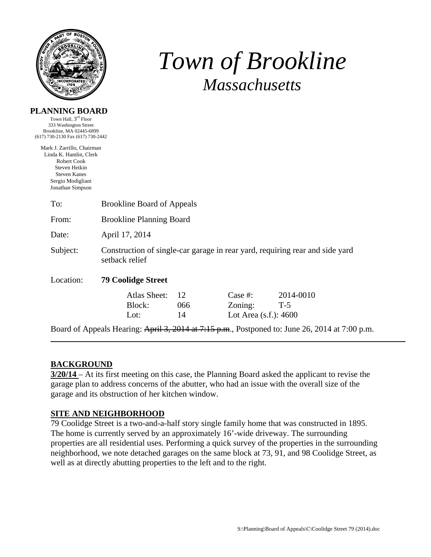

**PLANNING BOARD**  Town Hall, 3rd Floor

# *Town of Brookline Massachusetts*

| 333 Washington Street<br>Brookline, MA 02445-6899<br>(617) 730-2130 Fax (617) 730-2442                                                               |                                                                                                |                 |                                                |                                                                                                |  |  |  |  |
|------------------------------------------------------------------------------------------------------------------------------------------------------|------------------------------------------------------------------------------------------------|-----------------|------------------------------------------------|------------------------------------------------------------------------------------------------|--|--|--|--|
| Mark J. Zarrillo, Chairman<br>Linda K. Hamlin, Clerk<br>Robert Cook<br>Steven Heikin<br><b>Steven Kanes</b><br>Sergio Modigliani<br>Jonathan Simpson |                                                                                                |                 |                                                |                                                                                                |  |  |  |  |
| To:                                                                                                                                                  | <b>Brookline Board of Appeals</b>                                                              |                 |                                                |                                                                                                |  |  |  |  |
| From:                                                                                                                                                | <b>Brookline Planning Board</b>                                                                |                 |                                                |                                                                                                |  |  |  |  |
| Date:                                                                                                                                                | April 17, 2014                                                                                 |                 |                                                |                                                                                                |  |  |  |  |
| Subject:                                                                                                                                             | Construction of single-car garage in rear yard, requiring rear and side yard<br>setback relief |                 |                                                |                                                                                                |  |  |  |  |
| Location:                                                                                                                                            | <b>79 Coolidge Street</b>                                                                      |                 |                                                |                                                                                                |  |  |  |  |
|                                                                                                                                                      | Atlas Sheet:<br>Block:<br>Lot:                                                                 | 12<br>066<br>14 | Case #:<br>Zoning:<br>Lot Area $(s.f.)$ : 4600 | 2014-0010<br>$T-5$                                                                             |  |  |  |  |
|                                                                                                                                                      |                                                                                                |                 |                                                | Board of Appeals Hearing: April 3, 2014 at 7:15 p.m., Postponed to: June 26, 2014 at 7:00 p.m. |  |  |  |  |

## **BACKGROUND**

**3/20/14** – At its first meeting on this case, the Planning Board asked the applicant to revise the garage plan to address concerns of the abutter, who had an issue with the overall size of the garage and its obstruction of her kitchen window.

## **SITE AND NEIGHBORHOOD**

79 Coolidge Street is a two-and-a-half story single family home that was constructed in 1895. The home is currently served by an approximately 16'-wide driveway. The surrounding properties are all residential uses. Performing a quick survey of the properties in the surrounding neighborhood, we note detached garages on the same block at 73, 91, and 98 Coolidge Street, as well as at directly abutting properties to the left and to the right.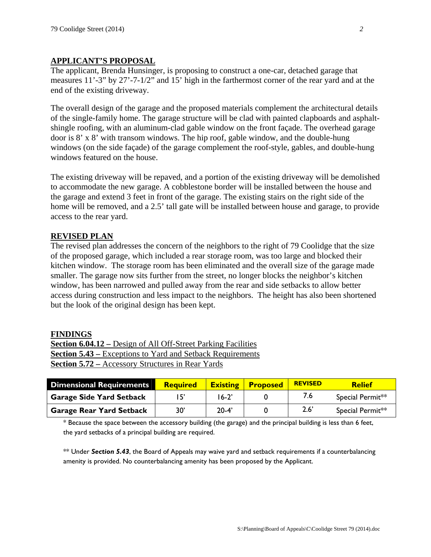### **APPLICANT'S PROPOSAL**

The applicant, Brenda Hunsinger, is proposing to construct a one-car, detached garage that measures 11'-3" by 27'-7-1/2" and 15' high in the farthermost corner of the rear yard and at the end of the existing driveway.

The overall design of the garage and the proposed materials complement the architectural details of the single-family home. The garage structure will be clad with painted clapboards and asphaltshingle roofing, with an aluminum-clad gable window on the front façade. The overhead garage door is 8' x 8' with transom windows. The hip roof, gable window, and the double-hung windows (on the side façade) of the garage complement the roof-style, gables, and double-hung windows featured on the house.

The existing driveway will be repaved, and a portion of the existing driveway will be demolished to accommodate the new garage. A cobblestone border will be installed between the house and the garage and extend 3 feet in front of the garage. The existing stairs on the right side of the home will be removed, and a 2.5' tall gate will be installed between house and garage, to provide access to the rear yard.

#### **REVISED PLAN**

The revised plan addresses the concern of the neighbors to the right of 79 Coolidge that the size of the proposed garage, which included a rear storage room, was too large and blocked their kitchen window. The storage room has been eliminated and the overall size of the garage made smaller. The garage now sits further from the street, no longer blocks the neighbor's kitchen window, has been narrowed and pulled away from the rear and side setbacks to allow better access during construction and less impact to the neighbors. The height has also been shortened but the look of the original design has been kept.

#### **FINDINGS**

**Section 6.04.12 –** Design of All Off-Street Parking Facilities **Section 5.43 –** Exceptions to Yard and Setback Requirements **Section 5.72 –** Accessory Structures in Rear Yards

| <b>Dimensional Requirements</b> | <b>Required</b> | <b>Existing</b> | <b>Proposed</b> | <b>REVISED</b> | <b>Relief</b>    |
|---------------------------------|-----------------|-----------------|-----------------|----------------|------------------|
| <b>Garage Side Yard Setback</b> |                 | $16-2'$         |                 | 7.6            | Special Permit** |
| <b>Garage Rear Yard Setback</b> | 30'             | $20 - 4'$       |                 | $2.6^{\circ}$  | Special Permit** |

\* Because the space between the accessory building (the garage) and the principal building is less than 6 feet, the yard setbacks of a principal building are required.

\*\* Under *Section 5.43*, the Board of Appeals may waive yard and setback requirements if a counterbalancing amenity is provided. No counterbalancing amenity has been proposed by the Applicant.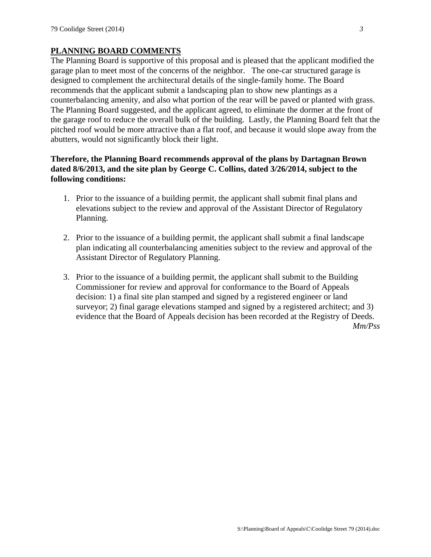## **PLANNING BOARD COMMENTS**

The Planning Board is supportive of this proposal and is pleased that the applicant modified the garage plan to meet most of the concerns of the neighbor. The one-car structured garage is designed to complement the architectural details of the single-family home. The Board recommends that the applicant submit a landscaping plan to show new plantings as a counterbalancing amenity, and also what portion of the rear will be paved or planted with grass. The Planning Board suggested, and the applicant agreed, to eliminate the dormer at the front of the garage roof to reduce the overall bulk of the building. Lastly, the Planning Board felt that the pitched roof would be more attractive than a flat roof, and because it would slope away from the abutters, would not significantly block their light.

### **Therefore, the Planning Board recommends approval of the plans by Dartagnan Brown dated 8/6/2013, and the site plan by George C. Collins, dated 3/26/2014, subject to the following conditions:**

- 1. Prior to the issuance of a building permit, the applicant shall submit final plans and elevations subject to the review and approval of the Assistant Director of Regulatory Planning.
- 2. Prior to the issuance of a building permit, the applicant shall submit a final landscape plan indicating all counterbalancing amenities subject to the review and approval of the Assistant Director of Regulatory Planning.
- 3. Prior to the issuance of a building permit, the applicant shall submit to the Building Commissioner for review and approval for conformance to the Board of Appeals decision: 1) a final site plan stamped and signed by a registered engineer or land surveyor; 2) final garage elevations stamped and signed by a registered architect; and 3) evidence that the Board of Appeals decision has been recorded at the Registry of Deeds.

*Mm/Pss*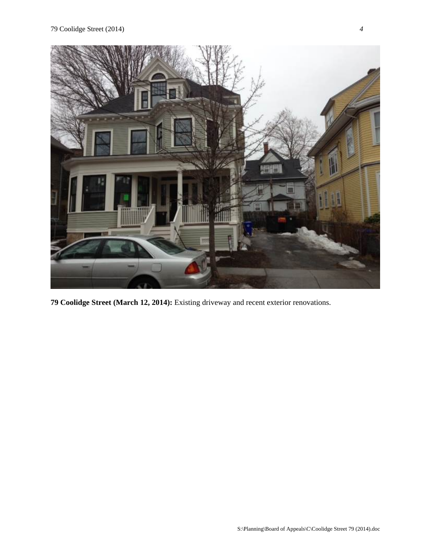

**79 Coolidge Street (March 12, 2014):** Existing driveway and recent exterior renovations.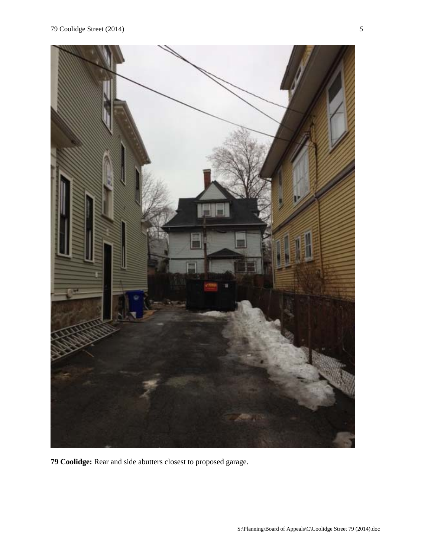

**79 Coolidge:** Rear and side abutters closest to proposed garage.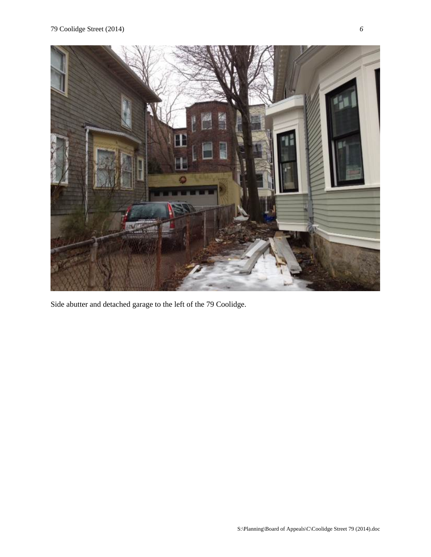

Side abutter and detached garage to the left of the 79 Coolidge.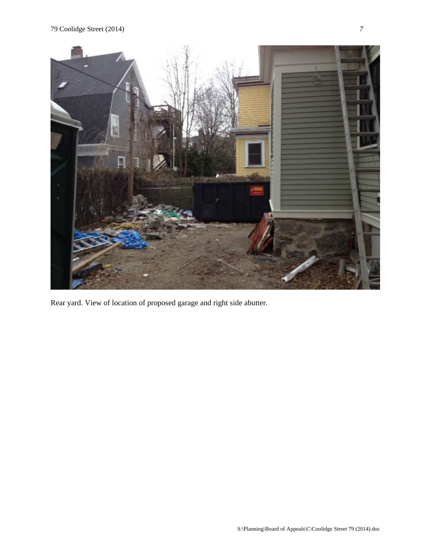

Rear yard. View of location of proposed garage and right side abutter.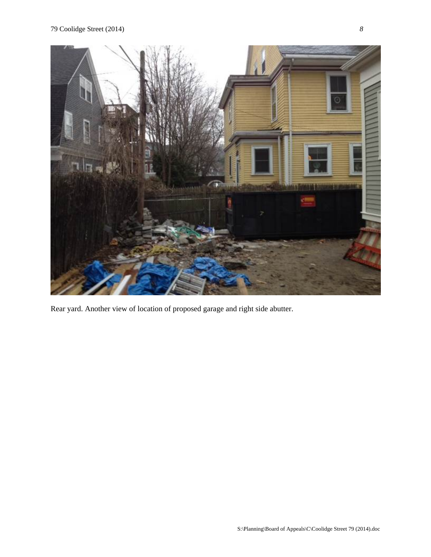

Rear yard. Another view of location of proposed garage and right side abutter.